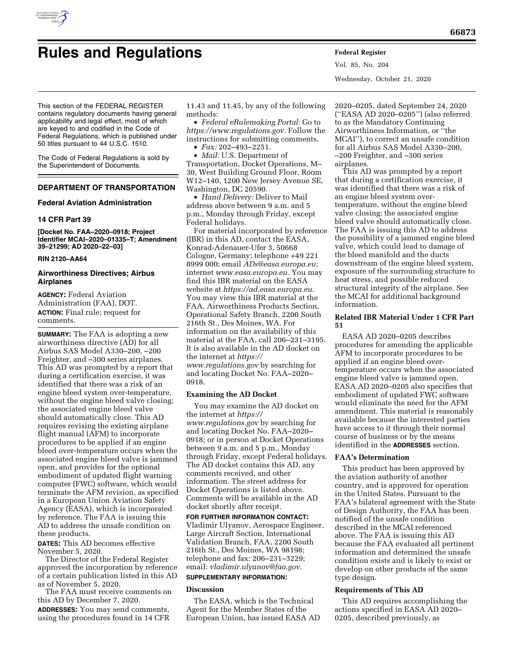

Vol. 85, No. 204 Wednesday, October 21, 2020

This section of the FEDERAL REGISTER contains regulatory documents having general applicability and legal effect, most of which are keyed to and codified in the Code of Federal Regulations, which is published under 50 titles pursuant to 44 U.S.C. 1510.

The Code of Federal Regulations is sold by the Superintendent of Documents.

# **DEPARTMENT OF TRANSPORTATION**

## **Federal Aviation Administration**

### **14 CFR Part 39**

**[Docket No. FAA–2020–0918; Project Identifier MCAI–2020–01335–T; Amendment 39–21299; AD 2020–22–03]** 

## **RIN 2120–AA64**

## **Airworthiness Directives; Airbus Airplanes**

**AGENCY:** Federal Aviation Administration (FAA), DOT. **ACTION:** Final rule; request for comments.

**SUMMARY:** The FAA is adopting a new airworthiness directive (AD) for all Airbus SAS Model A330–200, –200 Freighter, and –300 series airplanes. This AD was prompted by a report that during a certification exercise, it was identified that there was a risk of an engine bleed system over-temperature, without the engine bleed valve closing; the associated engine bleed valve should automatically close. This AD requires revising the existing airplane flight manual (AFM) to incorporate procedures to be applied if an engine bleed over-temperature occurs when the associated engine bleed valve is jammed open, and provides for the optional embodiment of updated flight warning computer (FWC) software, which would terminate the AFM revision, as specified in a European Union Aviation Safety Agency (EASA), which is incorporated by reference. The FAA is issuing this AD to address the unsafe condition on these products.

**DATES:** This AD becomes effective November 5, 2020.

The Director of the Federal Register approved the incorporation by reference of a certain publication listed in this AD as of November 5, 2020.

The FAA must receive comments on this AD by December 7, 2020. **ADDRESSES:** You may send comments, using the procedures found in 14 CFR

11.43 and 11.45, by any of the following methods:

• *Federal eRulemaking Portal:* Go to *[https://www.regulations.gov.](https://www.regulations.gov)* Follow the instructions for submitting comments.

• *Fax:* 202–493–2251.

• *Mail:* U.S. Department of Transportation, Docket Operations, M– 30, West Building Ground Floor, Room W12–140, 1200 New Jersey Avenue SE, Washington, DC 20590.

• *Hand Delivery:* Deliver to Mail address above between 9 a.m. and 5 p.m., Monday through Friday, except Federal holidays.

For material incorporated by reference (IBR) in this AD, contact the EASA, Konrad-Adenauer-Ufer 3, 50668 Cologne, Germany; telephone +49 221 8999 000; email *[ADs@easa.europa.eu;](mailto:ADs@easa.europa.eu)*  internet *[www.easa.europa.eu.](http://www.easa.europa.eu)* You may find this IBR material on the EASA website at *[https://ad.easa.europa.eu.](https://ad.easa.europa.eu)*  You may view this IBR material at the FAA, Airworthiness Products Section, Operational Safety Branch, 2200 South 216th St., Des Moines, WA. For information on the availability of this material at the FAA, call 206–231–3195. It is also available in the AD docket on the internet at *[https://](https://www.regulations.gov) [www.regulations.gov](https://www.regulations.gov)* by searching for and locating Docket No. FAA–2020–

0918.

## **Examining the AD Docket**

You may examine the AD docket on the internet at *[https://](https://www.regulations.gov) [www.regulations.gov](https://www.regulations.gov)* by searching for and locating Docket No. FAA–2020– 0918; or in person at Docket Operations between 9 a.m. and 5 p.m., Monday through Friday, except Federal holidays. The AD docket contains this AD, any comments received, and other information. The street address for Docket Operations is listed above. Comments will be available in the AD docket shortly after receipt.

**FOR FURTHER INFORMATION CONTACT:**  Vladimir Ulyanov, Aerospace Engineer, Large Aircraft Section, International Validation Branch, FAA, 2200 South 216th St., Des Moines, WA 98198; telephone and fax: 206–231–3229; email: *[vladimir.ulyanov@faa.gov.](mailto:vladimir.ulyanov@faa.gov)* 

# **SUPPLEMENTARY INFORMATION:**

## **Discussion**

The EASA, which is the Technical Agent for the Member States of the European Union, has issued EASA AD

2020–0205, dated September 24, 2020 (''EASA AD 2020–0205'') (also referred to as the Mandatory Continuing Airworthiness Information, or ''the MCAI''), to correct an unsafe condition for all Airbus SAS Model A330–200, –200 Freighter, and –300 series airplanes.

This AD was prompted by a report that during a certification exercise, it was identified that there was a risk of an engine bleed system overtemperature, without the engine bleed valve closing; the associated engine bleed valve should automatically close. The FAA is issuing this AD to address the possibility of a jammed engine bleed valve, which could lead to damage of the bleed manifold and the ducts downstream of the engine bleed system, exposure of the surrounding structure to heat stress, and possible reduced structural integrity of the airplane. See the MCAI for additional background information.

## **Related IBR Material Under 1 CFR Part 51**

EASA AD 2020–0205 describes procedures for amending the applicable AFM to incorporate procedures to be applied if an engine bleed overtemperature occurs when the associated engine bleed valve is jammed open. EASA AD 2020–0205 also specifies that embodiment of updated FWC software would eliminate the need for the AFM amendment. This material is reasonably available because the interested parties have access to it through their normal course of business or by the means identified in the **ADDRESSES** section.

## **FAA's Determination**

This product has been approved by the aviation authority of another country, and is approved for operation in the United States. Pursuant to the FAA's bilateral agreement with the State of Design Authority, the FAA has been notified of the unsafe condition described in the MCAI referenced above. The FAA is issuing this AD because the FAA evaluated all pertinent information and determined the unsafe condition exists and is likely to exist or develop on other products of the same type design.

## **Requirements of This AD**

This AD requires accomplishing the actions specified in EASA AD 2020– 0205, described previously, as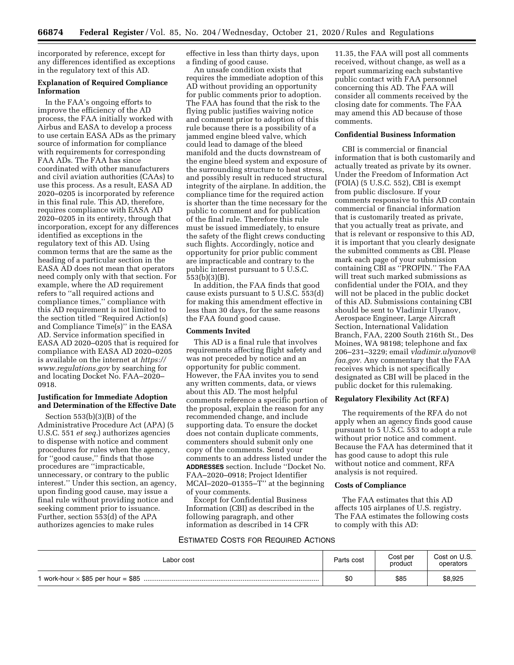incorporated by reference, except for any differences identified as exceptions in the regulatory text of this AD.

## **Explanation of Required Compliance Information**

In the FAA's ongoing efforts to improve the efficiency of the AD process, the FAA initially worked with Airbus and EASA to develop a process to use certain EASA ADs as the primary source of information for compliance with requirements for corresponding FAA ADs. The FAA has since coordinated with other manufacturers and civil aviation authorities (CAAs) to use this process. As a result, EASA AD 2020–0205 is incorporated by reference in this final rule. This AD, therefore, requires compliance with EASA AD 2020–0205 in its entirety, through that incorporation, except for any differences identified as exceptions in the regulatory text of this AD. Using common terms that are the same as the heading of a particular section in the EASA AD does not mean that operators need comply only with that section. For example, where the AD requirement refers to ''all required actions and compliance times,'' compliance with this AD requirement is not limited to the section titled ''Required Action(s) and Compliance Time(s)'' in the EASA AD. Service information specified in EASA AD 2020–0205 that is required for compliance with EASA AD 2020–0205 is available on the internet at *[https://](https://www.regulations.gov) [www.regulations.gov](https://www.regulations.gov)* by searching for and locating Docket No. FAA–2020– 0918.

## **Justification for Immediate Adoption and Determination of the Effective Date**

Section 553(b)(3)(B) of the Administrative Procedure Act (APA) (5 U.S.C. 551 *et seq.*) authorizes agencies to dispense with notice and comment procedures for rules when the agency, for ''good cause,'' finds that those procedures are ''impracticable, unnecessary, or contrary to the public interest.'' Under this section, an agency, upon finding good cause, may issue a final rule without providing notice and seeking comment prior to issuance. Further, section 553(d) of the APA authorizes agencies to make rules

effective in less than thirty days, upon a finding of good cause.

An unsafe condition exists that requires the immediate adoption of this AD without providing an opportunity for public comments prior to adoption. The FAA has found that the risk to the flying public justifies waiving notice and comment prior to adoption of this rule because there is a possibility of a jammed engine bleed valve, which could lead to damage of the bleed manifold and the ducts downstream of the engine bleed system and exposure of the surrounding structure to heat stress, and possibly result in reduced structural integrity of the airplane. In addition, the compliance time for the required action is shorter than the time necessary for the public to comment and for publication of the final rule. Therefore this rule must be issued immediately, to ensure the safety of the flight crews conducting such flights. Accordingly, notice and opportunity for prior public comment are impracticable and contrary to the public interest pursuant to 5 U.S.C. 553(b)(3)(B).

In addition, the FAA finds that good cause exists pursuant to 5 U.S.C. 553(d) for making this amendment effective in less than 30 days, for the same reasons the FAA found good cause.

### **Comments Invited**

This AD is a final rule that involves requirements affecting flight safety and was not preceded by notice and an opportunity for public comment. However, the FAA invites you to send any written comments, data, or views about this AD. The most helpful comments reference a specific portion of the proposal, explain the reason for any recommended change, and include supporting data. To ensure the docket does not contain duplicate comments, commenters should submit only one copy of the comments. Send your comments to an address listed under the **ADDRESSES** section. Include ''Docket No. FAA–2020–0918; Project Identifier MCAI–2020–01355–T'' at the beginning of your comments.

Except for Confidential Business Information (CBI) as described in the following paragraph, and other information as described in 14 CFR

11.35, the FAA will post all comments received, without change, as well as a report summarizing each substantive public contact with FAA personnel concerning this AD. The FAA will consider all comments received by the closing date for comments. The FAA may amend this AD because of those comments.

### **Confidential Business Information**

CBI is commercial or financial information that is both customarily and actually treated as private by its owner. Under the Freedom of Information Act (FOIA) (5 U.S.C. 552), CBI is exempt from public disclosure. If your comments responsive to this AD contain commercial or financial information that is customarily treated as private, that you actually treat as private, and that is relevant or responsive to this AD, it is important that you clearly designate the submitted comments as CBI. Please mark each page of your submission containing CBI as ''PROPIN.'' The FAA will treat such marked submissions as confidential under the FOIA, and they will not be placed in the public docket of this AD. Submissions containing CBI should be sent to Vladimir Ulyanov, Aerospace Engineer, Large Aircraft Section, International Validation Branch, FAA, 2200 South 216th St., Des Moines, WA 98198; telephone and fax 206–231–3229; email *[vladimir.ulyanov@](mailto:vladimir.ulyanov@faa.gov) [faa.gov.](mailto:vladimir.ulyanov@faa.gov)* Any commentary that the FAA receives which is not specifically designated as CBI will be placed in the public docket for this rulemaking.

### **Regulatory Flexibility Act (RFA)**

The requirements of the RFA do not apply when an agency finds good cause pursuant to 5 U.S.C. 553 to adopt a rule without prior notice and comment. Because the FAA has determined that it has good cause to adopt this rule without notice and comment, RFA analysis is not required.

## **Costs of Compliance**

The FAA estimates that this AD affects 105 airplanes of U.S. registry. The FAA estimates the following costs to comply with this AD:

# ESTIMATED COSTS FOR REQUIRED ACTIONS

| Labor cost | Parts cost | Cost per<br>product | Cost on U.S.<br>operators |
|------------|------------|---------------------|---------------------------|
|            | \$0        | \$85                | \$8,925                   |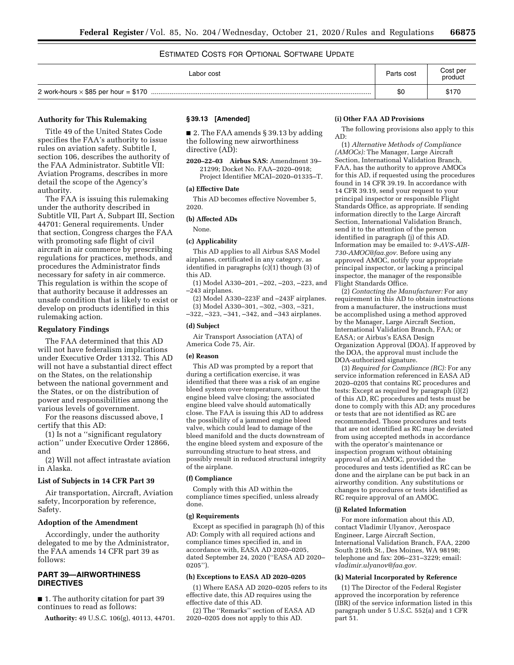## ESTIMATED COSTS FOR OPTIONAL SOFTWARE UPDATE

| Labor cost | Parts cost | Cost per<br>product |
|------------|------------|---------------------|
|            | \$С        | \$170               |

## **Authority for This Rulemaking**

Title 49 of the United States Code specifies the FAA's authority to issue rules on aviation safety. Subtitle I, section 106, describes the authority of the FAA Administrator. Subtitle VII: Aviation Programs, describes in more detail the scope of the Agency's authority.

The FAA is issuing this rulemaking under the authority described in Subtitle VII, Part A, Subpart III, Section 44701: General requirements. Under that section, Congress charges the FAA with promoting safe flight of civil aircraft in air commerce by prescribing regulations for practices, methods, and procedures the Administrator finds necessary for safety in air commerce. This regulation is within the scope of that authority because it addresses an unsafe condition that is likely to exist or develop on products identified in this rulemaking action.

#### **Regulatory Findings**

The FAA determined that this AD will not have federalism implications under Executive Order 13132. This AD will not have a substantial direct effect on the States, on the relationship between the national government and the States, or on the distribution of power and responsibilities among the various levels of government.

For the reasons discussed above, I certify that this AD:

(1) Is not a ''significant regulatory action'' under Executive Order 12866, and

(2) Will not affect intrastate aviation in Alaska.

### **List of Subjects in 14 CFR Part 39**

Air transportation, Aircraft, Aviation safety, Incorporation by reference, Safety.

### **Adoption of the Amendment**

Accordingly, under the authority delegated to me by the Administrator, the FAA amends 14 CFR part 39 as follows:

## **PART 39—AIRWORTHINESS DIRECTIVES**

■ 1. The authority citation for part 39 continues to read as follows:

**Authority:** 49 U.S.C. 106(g), 40113, 44701.

## **§ 39.13 [Amended]**

■ 2. The FAA amends § 39.13 by adding the following new airworthiness directive (AD):

**2020–22–03 Airbus SAS:** Amendment 39– 21299; Docket No. FAA–2020–0918; Project Identifier MCAI–2020–01335–T.

#### **(a) Effective Date**

This AD becomes effective November 5, 2020.

#### **(b) Affected ADs**

None.

#### **(c) Applicability**

This AD applies to all Airbus SAS Model airplanes, certificated in any category, as identified in paragraphs (c)(1) though (3) of this AD.

(1) Model A330–201, –202, –203, –223, and –243 airplanes.

(2) Model A330–223F and –243F airplanes. (3) Model A330–301, –302, –303, –321, –322, –323, –341, –342, and –343 airplanes.

#### **(d) Subject**

Air Transport Association (ATA) of America Code 75, Air.

### **(e) Reason**

This AD was prompted by a report that during a certification exercise, it was identified that there was a risk of an engine bleed system over-temperature, without the engine bleed valve closing; the associated engine bleed valve should automatically close. The FAA is issuing this AD to address the possibility of a jammed engine bleed valve, which could lead to damage of the bleed manifold and the ducts downstream of the engine bleed system and exposure of the surrounding structure to heat stress, and possibly result in reduced structural integrity of the airplane.

## **(f) Compliance**

Comply with this AD within the compliance times specified, unless already done.

#### **(g) Requirements**

Except as specified in paragraph (h) of this AD: Comply with all required actions and compliance times specified in, and in accordance with, EASA AD 2020–0205, dated September 24, 2020 (''EASA AD 2020– 0205'').

### **(h) Exceptions to EASA AD 2020–0205**

(1) Where EASA AD 2020–0205 refers to its effective date, this AD requires using the effective date of this AD.

(2) The ''Remarks'' section of EASA AD 2020–0205 does not apply to this AD.

#### **(i) Other FAA AD Provisions**

The following provisions also apply to this AD:

(1) *Alternative Methods of Compliance (AMOCs):* The Manager, Large Aircraft Section, International Validation Branch, FAA, has the authority to approve AMOCs for this AD, if requested using the procedures found in 14 CFR 39.19. In accordance with 14 CFR 39.19, send your request to your principal inspector or responsible Flight Standards Office, as appropriate. If sending information directly to the Large Aircraft Section, International Validation Branch, send it to the attention of the person identified in paragraph (j) of this AD. Information may be emailed to: *[9-AVS-AIR-](mailto:9-AVS-AIR-730-AMOC@faa.gov)[730-AMOC@faa.gov.](mailto:9-AVS-AIR-730-AMOC@faa.gov)* Before using any approved AMOC, notify your appropriate principal inspector, or lacking a principal inspector, the manager of the responsible Flight Standards Office.

(2) *Contacting the Manufacturer:* For any requirement in this AD to obtain instructions from a manufacturer, the instructions must be accomplished using a method approved by the Manager, Large Aircraft Section, International Validation Branch, FAA; or EASA; or Airbus's EASA Design Organization Approval (DOA). If approved by the DOA, the approval must include the DOA-authorized signature.

(3) *Required for Compliance (RC):* For any service information referenced in EASA AD 2020–0205 that contains RC procedures and tests: Except as required by paragraph (i)(2) of this AD, RC procedures and tests must be done to comply with this AD; any procedures or tests that are not identified as RC are recommended. Those procedures and tests that are not identified as RC may be deviated from using accepted methods in accordance with the operator's maintenance or inspection program without obtaining approval of an AMOC, provided the procedures and tests identified as RC can be done and the airplane can be put back in an airworthy condition. Any substitutions or changes to procedures or tests identified as RC require approval of an AMOC.

#### **(j) Related Information**

For more information about this AD, contact Vladimir Ulyanov, Aerospace Engineer, Large Aircraft Section, International Validation Branch, FAA, 2200 South 216th St., Des Moines, WA 98198; telephone and fax: 206–231–3229; email: *[vladimir.ulyanov@faa.gov.](mailto:vladimir.ulyanov@faa.gov)* 

### **(k) Material Incorporated by Reference**

(1) The Director of the Federal Register approved the incorporation by reference (IBR) of the service information listed in this paragraph under 5 U.S.C. 552(a) and 1 CFR part 51.